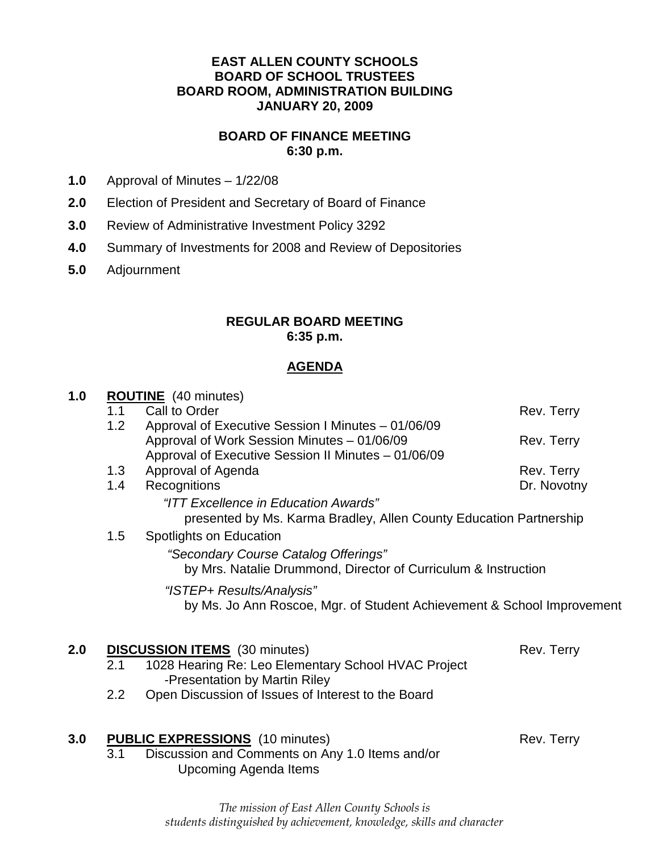#### **EAST ALLEN COUNTY SCHOOLS BOARD OF SCHOOL TRUSTEES BOARD ROOM, ADMINISTRATION BUILDING JANUARY 20, 2009**

#### **BOARD OF FINANCE MEETING 6:30 p.m.**

- **1.0** Approval of Minutes 1/22/08
- **2.0** Election of President and Secretary of Board of Finance
- **3.0** Review of Administrative Investment Policy 3292
- **4.0** Summary of Investments for 2008 and Review of Depositories
- **5.0** Adjournment

#### **REGULAR BOARD MEETING 6:35 p.m.**

#### **AGENDA**

| 1.0 |                                                                                                            | <b>ROUTINE</b> (40 minutes)                                            |             |  |
|-----|------------------------------------------------------------------------------------------------------------|------------------------------------------------------------------------|-------------|--|
|     | 1.1                                                                                                        | Call to Order                                                          | Rev. Terry  |  |
|     | 1.2                                                                                                        | Approval of Executive Session I Minutes - 01/06/09                     |             |  |
|     |                                                                                                            | Approval of Work Session Minutes - 01/06/09                            | Rev. Terry  |  |
|     |                                                                                                            | Approval of Executive Session II Minutes - 01/06/09                    |             |  |
|     | 1.3                                                                                                        | Approval of Agenda                                                     | Rev. Terry  |  |
|     | 1.4                                                                                                        | Recognitions                                                           | Dr. Novotny |  |
|     | "ITT Excellence in Education Awards"<br>presented by Ms. Karma Bradley, Allen County Education Partnership |                                                                        |             |  |
|     |                                                                                                            |                                                                        |             |  |
|     | 1.5                                                                                                        | Spotlights on Education                                                |             |  |
|     | "Secondary Course Catalog Offerings"<br>by Mrs. Natalie Drummond, Director of Curriculum & Instruction     |                                                                        |             |  |
|     |                                                                                                            | "ISTEP+ Results/Analysis"                                              |             |  |
|     |                                                                                                            | by Ms. Jo Ann Roscoe, Mgr. of Student Achievement & School Improvement |             |  |
| 2.0 | <b>DISCUSSION ITEMS</b> (30 minutes)<br>Rev. Terry                                                         |                                                                        |             |  |
|     | 2.1                                                                                                        | 1028 Hearing Re: Leo Elementary School HVAC Project                    |             |  |
|     |                                                                                                            | -Presentation by Martin Riley                                          |             |  |
|     | $2.2\phantom{0}$                                                                                           | Open Discussion of Issues of Interest to the Board                     |             |  |
| 3.0 |                                                                                                            | <b>PUBLIC EXPRESSIONS</b> (10 minutes)                                 | Rev. Terry  |  |
|     | 3.1                                                                                                        | Discussion and Comments on Any 1.0 Items and/or                        |             |  |
|     |                                                                                                            | <b>Upcoming Agenda Items</b>                                           |             |  |

The mission of East Allen County Schools is students distinguished by achievement, knowledge, skills and character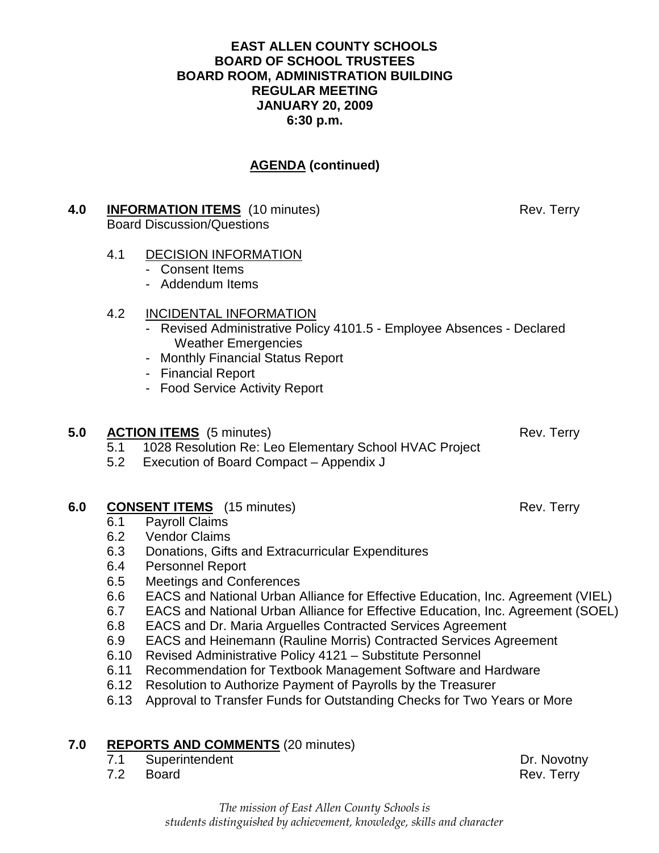#### **EAST ALLEN COUNTY SCHOOLS BOARD OF SCHOOL TRUSTEES BOARD ROOM, ADMINISTRATION BUILDING REGULAR MEETING JANUARY 20, 2009 6:30 p.m.**

# **AGENDA (continued)**

#### **4.0 INFORMATION ITEMS** (10 minutes) Rev. Terry Board Discussion/Questions

#### 4.1 DECISION INFORMATION

- Consent Items
- Addendum Items

#### 4.2 INCIDENTAL INFORMATION

- Revised Administrative Policy 4101.5 Employee Absences Declared Weather Emergencies
- Monthly Financial Status Report
- Financial Report
- Food Service Activity Report

#### **5.0 ACTION ITEMS** (5 minutes) Rev. Terry

- 5.1 1028 Resolution Re: Leo Elementary School HVAC Project
- 5.2 Execution of Board Compact Appendix J

### **6.0 CONSENT ITEMS** (15 minutes) Rev. Terry

- 6.1 Payroll Claims
- 6.2 Vendor Claims
- 6.3 Donations, Gifts and Extracurricular Expenditures
- 6.4 Personnel Report
- 6.5 Meetings and Conferences
- 6.6 EACS and National Urban Alliance for Effective Education, Inc. Agreement (VIEL)
- 6.7 EACS and National Urban Alliance for Effective Education, Inc. Agreement (SOEL)
- 6.8 EACS and Dr. Maria Arguelles Contracted Services Agreement
- 6.9 EACS and Heinemann (Rauline Morris) Contracted Services Agreement
- 6.10 Revised Administrative Policy 4121 Substitute Personnel
- 6.11 Recommendation for Textbook Management Software and Hardware
- 6.12 Resolution to Authorize Payment of Payrolls by the Treasurer
- 6.13 Approval to Transfer Funds for Outstanding Checks for Two Years or More

#### **7.0 REPORTS AND COMMENTS** (20 minutes)

- 7.1 Superintendent Dr. Novotny
- 7.2 Board Rev. Terry